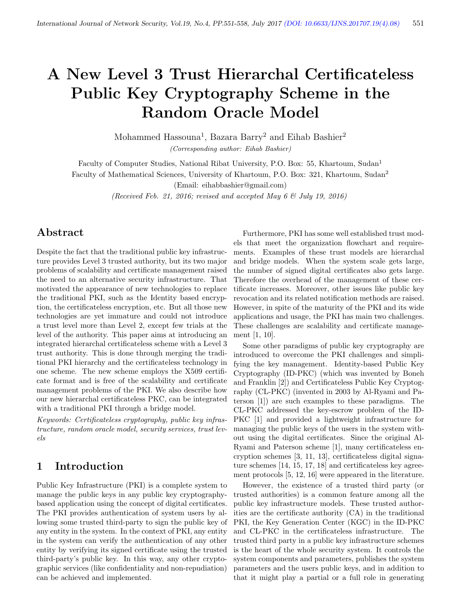# A New Level 3 Trust Hierarchal Certificateless Public Key Cryptography Scheme in the Random Oracle Model

Mohammed Hassouna<sup>1</sup>, Bazara Barry<sup>2</sup> and Eihab Bashier<sup>2</sup> (Corresponding author: Eihab Bashier)

Faculty of Computer Studies, National Ribat University, P.O. Box: 55, Khartoum, Sudan<sup>1</sup>

Faculty of Mathematical Sciences, University of Khartoum, P.O. Box: 321, Khartoum, Sudan<sup>2</sup>

(Email: eihabbashier@gmail.com)

(Received Feb. 21, 2016; revised and accepted May 6  $\mathcal G$  July 19, 2016)

### Abstract

Despite the fact that the traditional public key infrastructure provides Level 3 trusted authority, but its two major problems of scalability and certificate management raised the need to an alternative security infrastructure. That motivated the appearance of new technologies to replace the traditional PKI, such as the Identity based encryption, the certificateless encryption, etc. But all those new technologies are yet immature and could not introduce a trust level more than Level 2, except few trials at the level of the authority. This paper aims at introducing an integrated hierarchal certificateless scheme with a Level 3 trust authority. This is done through merging the traditional PKI hierarchy and the certificateless technology in one scheme. The new scheme employs the X509 certificate format and is free of the scalability and certificate management problems of the PKI. We also describe how our new hierarchal certificateless PKC, can be integrated with a traditional PKI through a bridge model.

Keywords: Certificateless cryptography, public key infrastructure, random oracle model, security services, trust levels

## 1 Introduction

Public Key Infrastructure (PKI) is a complete system to manage the public keys in any public key cryptographybased application using the concept of digital certificates. The PKI provides authentication of system users by allowing some trusted third-party to sign the public key of any entity in the system. In the context of PKI, any entity in the system can verify the authentication of any other entity by verifying its signed certificate using the trusted third-party's public key. In this way, any other cryptographic services (like confidentiality and non-repudiation) can be achieved and implemented.

Furthermore, PKI has some well established trust models that meet the organization flowchart and requirements. Examples of these trust models are hierarchal and bridge models. When the system scale gets large, the number of signed digital certificates also gets large. Therefore the overhead of the management of these certificate increases. Moreover, other issues like public key revocation and its related notification methods are raised. However, in spite of the maturity of the PKI and its wide applications and usage, the PKI has main two challenges. These challenges are scalability and certificate management [1, 10].

Some other paradigms of public key cryptography are introduced to overcome the PKI challenges and simplifying the key management. Identity-based Public Key Cryptography (ID-PKC) (which was invented by Boneh and Franklin [2]) and Certificateless Public Key Cryptography (CL-PKC) (invented in 2003 by Al-Ryami and Paterson [1]) are such examples to these paradigms. The CL-PKC addressed the key-escrow problem of the ID-PKC [1] and provided a lightweight infrastructure for managing the public keys of the users in the system without using the digital certificates. Since the original Al-Ryami and Paterson scheme [1], many certificateless encryption schemes [3, 11, 13], certificateless digital signature schemes [14, 15, 17, 18] and certificateless key agreement protocols [5, 12, 16] were appeared in the literature.

However, the existence of a trusted third party (or trusted authorities) is a common feature among all the public key infrastructure models. These trusted authorities are the certificate authority (CA) in the traditional PKI, the Key Generation Center (KGC) in the ID-PKC and CL-PKC in the certificateless infrastructure. The trusted third party in a public key infrastructure schemes is the heart of the whole security system. It controls the system components and parameters, publishes the system parameters and the users public keys, and in addition to that it might play a partial or a full role in generating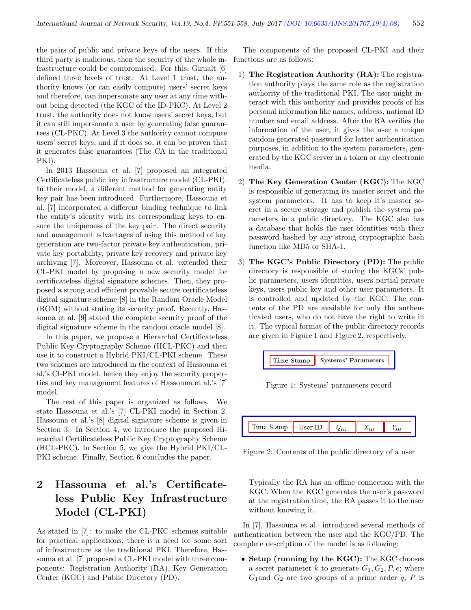the pairs of public and private keys of the users. If this third party is malicious, then the security of the whole infrastructure could be compromised. For this, Girualt [6] defined three levels of trust: At Level 1 trust, the authority knows (or can easily compute) users' secret keys and therefore, can impersonate any user at any time without being detected (the KGC of the ID-PKC). At Level 2 trust, the authority does not know users' secret keys, but it can still impersonate a user by generating false guarantees (CL-PKC). At Level 3 the authority cannot compute users' secret keys, and if it does so, it can be proven that it generates false guarantees (The CA in the traditional PKI).

In 2013 Hassouna et al. [7] proposed an integrated Certificateless public key infrastructure model (CL-PKI). In their model, a different method for generating entity key pair has been introduced. Furthermore, Hassouna et al. [7] incorporated a different binding technique to link the entity's identity with its corresponding keys to ensure the uniqueness of the key pair. The direct security and management advantages of using this method of key generation are two-factor private key authentication, private key portability, private key recovery and private key archiving [7]. Moreover, Hassouna et al. extended their CL-PKI model by proposing a new security model for certificateless digital signature schemes. Then, they proposed a strong and efficient provable secure certificateless digital signature scheme [8] in the Random Oracle Model (ROM) without stating its security proof. Recently, Hassouna et al. [9] stated the complete security proof of the digital signature scheme in the random oracle model [8].

In this paper, we propose a Hierarchal Certificateless Public Key Cryptography Scheme (HCL-PKC) and then use it to construct a Hybrid PKI/CL-PKI scheme. These two schemes are introduced in the context of Hassouna et al.'s Cl-PKI model, hence they enjoy the security properties and key management features of Hassouna et al.'s [7] model.

The rest of this paper is organized as follows. We state Hassouna et al.'s [7] CL-PKI model in Section 2. Hassouna et al.'s [8] digital signature scheme is given in Section 3. In Section 4, we introduce the proposed Hierarchal Certificateless Public Key Cryptography Scheme (HCL-PKC). In Section 5, we give the Hybrid PKI/CL-PKI scheme. Finally, Section 6 concludes the paper.

# 2 Hassouna et al.'s Certificateless Public Key Infrastructure Model (CL-PKI)

As stated in [7]: to make the CL-PKC schemes suitable for practical applications, there is a need for some sort of infrastructure as the traditional PKI. Therefore, Hassouna et al. [7] proposed a CL-PKI model with three components: Registration Authority (RA), Key Generation Center (KGC) and Public Directory (PD).

The components of the proposed CL-PKI and their functions are as follows:

- 1) The Registration Authority (RA): The registration authority plays the same role as the registration authority of the traditional PKI. The user might interact with this authority and provides proofs of his personal information like names, address, national ID number and email address. After the RA verifies the information of the user, it gives the user a unique random generated password for latter authentication purposes, in addition to the system parameters, generated by the KGC server in a token or any electronic media.
- 2) The Key Generation Center (KGC): The KGC is responsible of generating its master secret and the system parameters. It has to keep it's master secret in a secure storage and publish the system parameters in a public directory. The KGC also has a database that holds the user identities with their password hashed by any strong cryptographic hash function like MD5 or SHA-1.
- 3) The KGC's Public Directory (PD): The public directory is responsible of storing the KGCs' public parameters, users identities, users partial private keys, users public key and other user parameters. It is controlled and updated by the KGC. The contents of the PD are available for only the authenticated users, who do not have the right to write in it. The typical format of the public directory records are given in Figure 1 and Figure 2, respectively.



Figure 1: Systems' parameters record



Figure 2: Contents of the public directory of a user

Typically the RA has an offline connection with the KGC. When the KGC generates the user's password at the registration time, the RA passes it to the user without knowing it.

In [7], Hassouna et al. introduced several methods of authentication between the user and the KGC/PD. The complete description of the model is as following:

• Setup (running by the KGC): The KGC chooses a secret parameter k to generate  $G_1, G_2, P, e$ ; where  $G_1$  and  $G_2$  are two groups of a prime order q, P is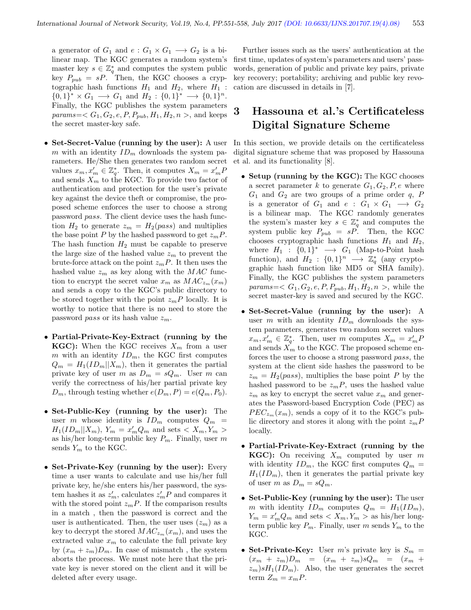a generator of  $G_1$  and  $e: G_1 \times G_1 \longrightarrow G_2$  is a bilinear map. The KGC generates a random system's master key  $s \in \mathbb{Z}_q^*$  and computes the system public key  $P_{pub} = sP$ . Then, the KGC chooses a cryptographic hash functions  $H_1$  and  $H_2$ , where  $H_1$ :  ${0,1}^* \times G_1 \longrightarrow G_1$  and  $H_2: \{0,1\}^* \longrightarrow \{0,1\}^n$ . Finally, the KGC publishes the system parameters  $params=< G_1, G_2, e, P, P_{pub}, H_1, H_2, n >$ , and keeps the secret master-key safe.

- Set-Secret-Value (running by the user): A user m with an identity  $ID_m$  downloads the system parameters. He/She then generates two random secret values  $x_m, x'_m \in \mathbb{Z}_q^*$ . Then, it computes  $X_m = x'_m P$ and sends  $X_m$  to the KGC. To provide two factor of authentication and protection for the user's private key against the device theft or compromise, the proposed scheme enforces the user to choose a strong password pass. The client device uses the hash function  $H_2$  to generate  $z_m = H_2(pass)$  and multiplies the base point P by the hashed password to get  $z_mP$ . The hash function  $H_2$  must be capable to preserve the large size of the hashed value  $z_m$  to prevent the brute-force attack on the point  $z_mP$ . It then uses the hashed value  $z_m$  as key along with the MAC function to encrypt the secret value  $x_m$  as  $MAC_{z_m}(x_m)$ and sends a copy to the KGC's public directory to be stored together with the point  $z_mP$  locally. It is worthy to notice that there is no need to store the password *pass* or its hash value  $z_m$ .
- Partial-Private-Key-Extract (running by the **KGC):** When the KGC receives  $X_m$  from a user m with an identity  $ID_m$ , the KGC first computes  $Q_m = H_1(ID_m || X_m)$ , then it generates the partial private key of user m as  $D_m = sQ_m$ . User m can verify the correctness of his/her partial private key  $D_m$ , through testing whether  $e(D_m, P) = e(Q_m, P_0)$ .
- Set-Public-Key (running by the user): The user m whose identity is  $ID_m$  computes  $Q_m$  =  $H_1(ID_m || X_m)$ ,  $Y_m = x'_m Q_m$  and sets  $\langle X_m, Y_m \rangle$ as his/her long-term public key  $P_m$ . Finally, user m sends  $Y_m$  to the KGC.
- Set-Private-Key (running by the user): Every time a user wants to calculate and use his/her full private key, he/she enters his/her password, the system hashes it as  $z'_m$ , calculates  $z'_m P$  and compares it with the stored point  $z_mP$ . If the comparison results in a match , then the password is correct and the user is authenticated. Then, the user uses  $(z_m)$  as a key to decrypt the stored  $MAC_{z_m}(x_m)$ , and uses the extracted value  $x_m$  to calculate the full private key by  $(x_m + z_m)D_m$ . In case of mismatch, the system aborts the process. We must note here that the private key is never stored on the client and it will be deleted after every usage.

Further issues such as the users' authentication at the first time, updates of system's parameters and users' passwords, generation of public and private key pairs, private key recovery; portability; archiving and public key revocation are discussed in details in [7].

# 3 Hassouna et al.'s Certificateless Digital Signature Scheme

In this section, we provide details on the certificateless digital signature scheme that was proposed by Hassouna et al. and its functionality [8].

- Setup (running by the KGC): The KGC chooses a secret parameter k to generate  $G_1, G_2, P, e$  where  $G_1$  and  $G_2$  are two groups of a prime order q, P is a generator of  $G_1$  and  $e : G_1 \times G_1 \longrightarrow G_2$ is a bilinear map. The KGC randomly generates the system's master key  $s \in \mathbb{Z}_q^*$  and computes the system public key  $P_{pub} = sP$ . Then, the KGC chooses cryptographic hash functions  $H_1$  and  $H_2$ , where  $H_1 : \{0,1\}^* \longrightarrow G_1$  (Map-to-Point hash function), and  $H_2: \{0,1\}^n \longrightarrow \mathbb{Z}_q^*$  (any cryptographic hash function like MD5 or SHA family). Finally, the KGC publishes the system parameters *params*= $\langle G_1, G_2, e, P, P_{pub}, H_1, H_2, n \rangle$ , while the secret master-key is saved and secured by the KGC.
- Set-Secret-Value (running by the user): A user m with an identity  $ID_m$  downloads the system parameters, generates two random secret values  $x_m, x'_m \in \mathbb{Z}_q^*$ . Then, user m computes  $X_m = x'_m P$ and sends  $\overline{X}_m$  to the KGC. The proposed scheme enforces the user to choose a strong password pass, the system at the client side hashes the password to be  $z_m = H_2(pass)$ , multiplies the base point P by the hashed password to be  $z_mP$ , uses the hashed value  $z_m$  as key to encrypt the secret value  $x_m$  and generates the Password-based Encryption Code (PEC) as  $PEC_{z_m}(x_m)$ , sends a copy of it to the KGC's public directory and stores it along with the point  $z_mP$ locally.
- Partial-Private-Key-Extract (running by the **KGC**): On receiving  $X_m$  computed by user m with identity  $ID_m$ , the KGC first computes  $Q_m =$  $H_1(ID_m)$ , then it generates the partial private key of user m as  $D_m = sQ_m$ .
- Set-Public-Key (running by the user): The user m with identity  $ID_m$  computes  $Q_m = H_1(ID_m),$  $Y_m = x'_m Q_m$  and sets  $X_m, Y_m >$  as his/her longterm public key  $P_m$ . Finally, user m sends  $Y_m$  to the KGC.
- Set-Private-Key: User m's private key is  $S_m$  =  $(x_m + z_m)D_m = (x_m + z_m)sQ_m = (x_m + z_m)D_m$  $z_m$ )s $H_1(ID_m)$ . Also, the user generates the secret term  $Z_m = x_m P$ .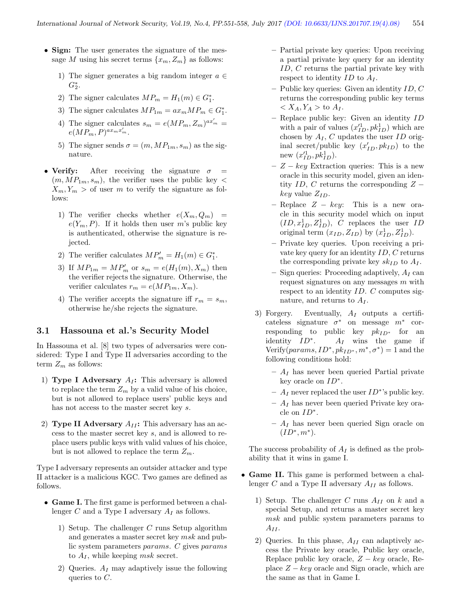- Sign: The user generates the signature of the message M using his secret terms  $\{x_m, Z_m\}$  as follows:
	- 1) The signer generates a big random integer  $a \in \mathbb{R}$  $G_2^*$ .
	- 2) The signer calculates  $MP_m = H_1(m) \in G_1^*$ .
	- 3) The signer calculates  $MP_{1m} = ax_m MP_m \in G_1^*$ .
	- 4) The signer calculates  $s_m = e(MP_m, Z_m)^{ax'_m}$  $e(MP_m, P)^{ax_mx'_m}.$
	- 5) The signer sends  $\sigma = (m, MP_{1m}, s_m)$  as the signature.
- Verify: After receiving the signature  $\sigma$  $(m, MP_{1m}, s_m)$ , the verifier uses the public key  $\lt$  $X_m, Y_m >$  of user m to verify the signature as follows:
	- 1) The verifier checks whether  $e(X_m, Q_m)$  =  $e(Y_m, P)$ . If it holds then user m's public key is authenticated, otherwise the signature is rejected.
	- 2) The verifier calculates  $MP'_m = H_1(m) \in G_1^*$ .
	- 3) If  $MP_{1m} = MP'_m$  or  $s_m = e(H_1(m), X_m)$  then the verifier rejects the signature. Otherwise, the verifier calculates  $r_m = e(MP_{1m}, X_m)$ .
	- 4) The verifier accepts the signature iff  $r_m = s_m$ , otherwise he/she rejects the signature.

#### 3.1 Hassouna et al.'s Security Model

In Hassouna et al. [8] two types of adversaries were considered: Type I and Type II adversaries according to the term  $Z_m$  as follows:

- 1) Type I Adversary  $A_I$ : This adversary is allowed to replace the term  $Z_m$  by a valid value of his choice, but is not allowed to replace users' public keys and has not access to the master secret key s.
- 2) Type II Adversary  $A_{II}$ : This adversary has an access to the master secret key s, and is allowed to replace users public keys with valid values of his choice, but is not allowed to replace the term  $Z_m$ .

Type I adversary represents an outsider attacker and type II attacker is a malicious KGC. Two games are defined as follows.

- Game I. The first game is performed between a challenger  $C$  and a Type I adversary  $A_I$  as follows.
	- 1) Setup. The challenger C runs Setup algorithm and generates a master secret key msk and public system parameters params. C gives params to  $A_I$ , while keeping msk secret.
	- 2) Queries.  $A_I$  may adaptively issue the following queries to  $C$ .
- Partial private key queries: Upon receiving a partial private key query for an identity ID, C returns the partial private key with respect to identity  $ID$  to  $A_I$ .
- Public key queries: Given an identity ID, C returns the corresponding public key terms  $\langle X_A, Y_A \rangle$  to  $A_I$ .
- Replace public key: Given an identity ID with a pair of values  $(x_{ID}^{\prime 1}, p k_{ID}^1)$  which are chosen by  $A_I$ , C updates the user ID original secret/public key  $(x'_{ID}, p k_{ID})$  to the new  $(x_{ID}^{\prime 1}, p k_{ID}^1)$ .
- $Z key$  Extraction queries: This is a new oracle in this security model, given an identity ID, C returns the corresponding  $Z$  $key$  value  $Z_{ID}$ .
- Replace  $Z key$ : This is a new oracle in this security model which on input  $(ID, x_{ID}^1, Z_{ID}^1), C$  replaces the user ID original term  $(x_{ID}, Z_{ID})$  by  $(x_{ID}^1, Z_{ID}^1)$ .
- Private key queries. Upon receiving a private key query for an identity  $ID, C$  returns the corresponding private key  $sk_{ID}$  to  $A_I$ .
- Sign queries: Proceeding adaptively,  $A_I$  can request signatures on any messages m with respect to an identity ID. C computes signature, and returns to  $A_I$ .
- 3) Forgery. Eventually,  $A_I$  outputs a certificateless signature  $\sigma^*$  on message  $m^*$  corresponding to public key  $pk_{ID^*}$  for an identity  $ID^*$ .  $A_I$  wins the game if Verify( $params, ID^*, pk_{ID^*}, m^*, \sigma^*$ ) = 1 and the following conditions hold:
	- $A_I$  has never been queried Partial private key oracle on  $ID^*$ .
	- $A_I$  never replaced the user  $ID^*$ 's public key.
	- $A_I$  has never been queried Private key oracle on  $ID^*$ .
	- $A<sub>I</sub>$  has never been queried Sign oracle on  $(ID^*, m^*).$

The success probability of  $A_I$  is defined as the probability that it wins in game I.

- Game II. This game is performed between a challenger  $C$  and a Type II adversary  $A_{II}$  as follows.
	- 1) Setup. The challenger C runs  $A_{II}$  on k and a special Setup, and returns a master secret key msk and public system parameters params to  $A_{II}$ .
	- 2) Queries. In this phase,  $A_{II}$  can adaptively access the Private key oracle, Public key oracle, Replace public key oracle,  $Z - key$  oracle, Replace  $Z - key$  oracle and Sign oracle, which are the same as that in Game I.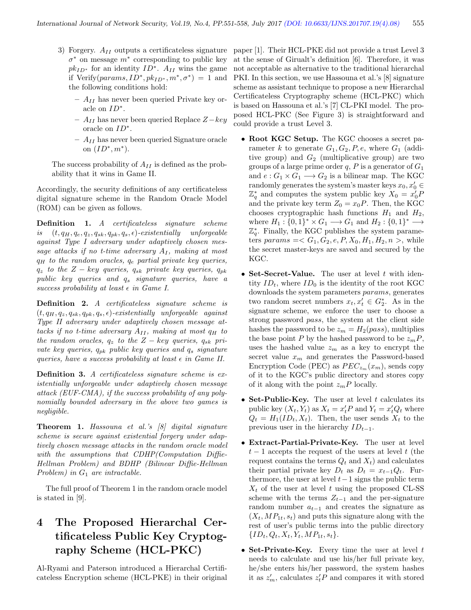- $\sigma^*$  on message  $m^*$  corresponding to public key  $pk_{ID^*}$  for an identity  $ID^*$ .  $A_{II}$  wins the game if Verify( $params, ID^*, pk_{ID^*}, m^*, \sigma^* ) = 1$  and the following conditions hold:
	- $A_{II}$  has never been queried Private key oracle on  $ID^*$ .
	- AII has never been queried Replace Z−key oracle on  $ID^*$ .
	- $A_{II}$  has never been queried Signature oracle on  $(ID^*, m^*).$

The success probability of  $A_{II}$  is defined as the probability that it wins in Game II.

Accordingly, the security definitions of any certificateless digital signature scheme in the Random Oracle Model (ROM) can be given as follows.

Definition 1. A certificateless signature scheme is  $(t, q_H, q_e, q_z, q_{sk}, q_{pk}, q_s, \epsilon)$ -existentially unforgeable against Type I adversary under adaptively chosen message attacks if no t-time adversary  $A_I$ , making at most  $q_H$  to the random oracles,  $q_e$  partial private key queries,  $q_z$  to the Z – key queries,  $q_{sk}$  private key queries,  $q_{pk}$  $public key queries and q_s signature queries, have a$ success probability at least  $\epsilon$  in Game I.

Definition 2. A certificateless signature scheme is  $(t, q_H, q_z, q_{sk}, q_{pk}, q_s, \epsilon)$ -existentially unforgeable against Type II adversary under adaptively chosen message attacks if no t-time adversary  $A_{II}$ , making at most  $q_H$  to the random oracles,  $q_z$  to the  $Z - key$  queries,  $q_{sk}$  private key queries,  $q_{pk}$  public key queries and  $q_s$  signature queries, have a success probability at least  $\epsilon$  in Game II.

Definition 3. A certificateless signature scheme is existentially unforgeable under adaptively chosen message attack (EUF-CMA), if the success probability of any polynomially bounded adversary in the above two games is negligible.

Theorem 1. Hassouna et al.'s [8] digital signature scheme is secure against existential forgery under adaptively chosen message attacks in the random oracle model with the assumptions that CDHP(Computation Diffie-Hellman Problem) and BDHP (Bilinear Diffie-Hellman Problem) in  $G_1$  are intractable.

The full proof of Theorem 1 in the random oracle model is stated in [9].

# 4 The Proposed Hierarchal Certificateless Public Key Cryptography Scheme (HCL-PKC)

Al-Ryami and Paterson introduced a Hierarchal Certificateless Encryption scheme (HCL-PKE) in their original

3) Forgery.  $A_{II}$  outputs a certificateless signature paper [1]. Their HCL-PKE did not provide a trust Level 3 at the sense of Girualt's definition [6]. Therefore, it was not acceptable as alternative to the traditional hierarchal PKI. In this section, we use Hassouna et al.'s [8] signature scheme as assistant technique to propose a new Hierarchal Certificateless Cryptography scheme (HCL-PKC) which is based on Hassouna et al.'s [7] CL-PKI model. The proposed HCL-PKC (See Figure 3) is straightforward and could provide a trust Level 3.

- Root KGC Setup. The KGC chooses a secret parameter k to generate  $G_1, G_2, P, e$ , where  $G_1$  (additive group) and  $G_2$  (multiplicative group) are two groups of a large prime order  $q, P$  is a generator of  $G_1$ and  $e: G_1 \times G_1 \longrightarrow G_2$  is a bilinear map. The KGC randomly generates the system's master keys  $x_0, x'_0 \in$  $\mathbb{Z}_q^*$  and computes the system public key  $X_0 = x'_0 P$ and the private key term  $Z_0 = x_0 P$ . Then, the KGC chooses cryptographic hash functions  $H_1$  and  $H_2$ , where  $H_1: \{0,1\}^* \times G_1 \longrightarrow G_1$  and  $H_2: \{0,1\}^* \longrightarrow$  $\mathbb{Z}_q^*$ . Finally, the KGC publishes the system parameters params  $=< G_1, G_2, e, P, X_0, H_1, H_2, n >$ , while the secret master-keys are saved and secured by the KGC.
- Set-Secret-Value. The user at level  $t$  with identity  $ID_t$ , where  $ID_0$  is the identity of the root KGC downloads the system parameters params, generates two random secret numbers  $x_t, x'_t \in G_2^*$ . As in the signature scheme, we enforce the user to choose a strong password pass, the system at the client side hashes the password to be  $z_m = H_2(pass)$ , multiplies the base point P by the hashed password to be  $z_mP$ , uses the hashed value  $z_m$  as a key to encrypt the secret value  $x_m$  and generates the Password-based Encryption Code (PEC) as  $PEC_{z_m}(x_m)$ , sends copy of it to the KGC's public directory and stores copy of it along with the point  $z_mP$  locally.
- Set-Public-Key. The user at level  $t$  calculates its public key  $(X_t, Y_t)$  as  $X_t = x_t'P$  and  $Y_t = x_t'Q_t$  where  $Q_t = H_1(ID_t, X_t)$ . Then, the user sends  $X_t$  to the previous user in the hierarchy  $ID_{t-1}$ .
- Extract-Partial-Private-Key. The user at level  $t-1$  accepts the request of the users at level t (the request contains the terms  $Q_t$  and  $X_t$ ) and calculates their partial private key  $D_t$  as  $D_t = x_{t-1}Q_t$ . Furthermore, the user at level  $t-1$  signs the public term  $X_t$  of the user at level t using the proposed CL-SS scheme with the terms  $Z_{t-1}$  and the per-signature random number  $a_{t-1}$  and creates the signature as  $(X_t, MP_{1t}, s_t)$  and puts this signature along with the rest of user's public terms into the public directory  ${ID_t, Q_t, X_t, Y_t, MP_{1t}, s_t}.$
- Set-Private-Key. Every time the user at level  $t$ needs to calculate and use his/her full private key, he/she enters his/her password, the system hashes it as  $z'_m$ , calculates  $z'_tP$  and compares it with stored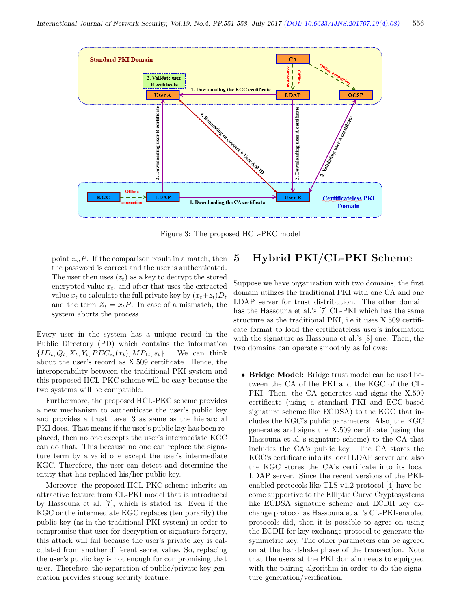

Figure 3: The proposed HCL-PKC model

point  $z_mP$ . If the comparison result in a match, then the password is correct and the user is authenticated. The user then uses  $(z_t)$  as a key to decrypt the stored encrypted value  $x_t$ , and after that uses the extracted value  $x_t$  to calculate the full private key by  $(x_t+z_t)D_t$ and the term  $Z_t = x_t P$ . In case of a mismatch, the system aborts the process.

Every user in the system has a unique record in the Public Directory (PD) which contains the information  $\{ID_t, Q_t, X_t, Y_t, PEC_{z_t}(x_t), MP_{1t}, s_t\}.$  We can think about the user's record as X.509 certificate. Hence, the interoperability between the traditional PKI system and this proposed HCL-PKC scheme will be easy because the two systems will be compatible.

Furthermore, the proposed HCL-PKC scheme provides a new mechanism to authenticate the user's public key and provides a trust Level 3 as same as the hierarchal PKI does. That means if the user's public key has been replaced, then no one excepts the user's intermediate KGC can do that. This because no one can replace the signature term by a valid one except the user's intermediate KGC. Therefore, the user can detect and determine the entity that has replaced his/her public key.

Moreover, the proposed HCL-PKC scheme inherits an attractive feature from CL-PKI model that is introduced by Hassouna et al. [7], which is stated as: Even if the KGC or the intermediate KGC replaces (temporarily) the public key (as in the traditional PKI system) in order to compromise that user for decryption or signature forgery, this attack will fail because the user's private key is calculated from another different secret value. So, replacing the user's public key is not enough for compromising that user. Therefore, the separation of public/private key generation provides strong security feature.

## 5 Hybrid PKI/CL-PKI Scheme

Suppose we have organization with two domains, the first domain utilizes the traditional PKI with one CA and one LDAP server for trust distribution. The other domain has the Hassouna et al.'s [7] CL-PKI which has the same structure as the traditional PKI, i.e it uses X.509 certificate format to load the certificateless user's information with the signature as Hassouna et al.'s [8] one. Then, the two domains can operate smoothly as follows:

• Bridge Model: Bridge trust model can be used between the CA of the PKI and the KGC of the CL-PKI. Then, the CA generates and signs the X.509 certificate (using a standard PKI and ECC-based signature scheme like ECDSA) to the KGC that includes the KGC's public parameters. Also, the KGC generates and signs the X.509 certificate (using the Hassouna et al.'s signature scheme) to the CA that includes the CA's public key. The CA stores the KGC's certificate into its local LDAP server and also the KGC stores the CA's certificate into its local LDAP server. Since the recent versions of the PKIenabled protocols like TLS v1.2 protocol [4] have become supportive to the Elliptic Curve Cryptosystems like ECDSA signature scheme and ECDH key exchange protocol as Hassouna et al.'s CL-PKI-enabled protocols did, then it is possible to agree on using the ECDH for key exchange protocol to generate the symmetric key. The other parameters can be agreed on at the handshake phase of the transaction. Note that the users at the PKI domain needs to equipped with the pairing algorithm in order to do the signature generation/verification.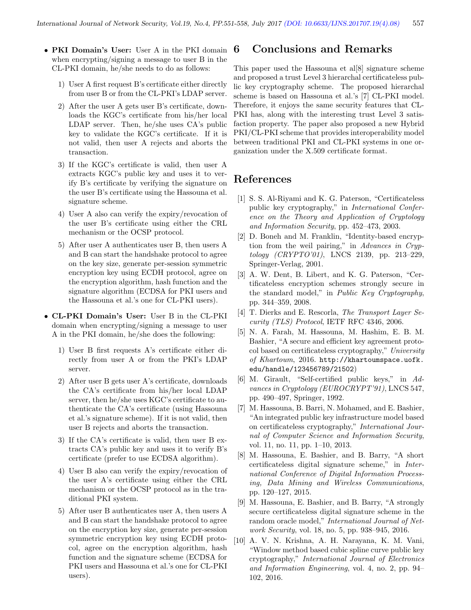- PKI Domain's User: User A in the PKI domain when encrypting/signing a message to user B in the CL-PKI domain, he/she needs to do as follows:
	- 1) User A first request B's certificate either directly from user B or from the CL-PKI's LDAP server.
	- 2) After the user A gets user B's certificate, downloads the KGC's certificate from his/her local LDAP server. Then, he/she uses CA's public key to validate the KGC's certificate. If it is not valid, then user A rejects and aborts the transaction.
	- 3) If the KGC's certificate is valid, then user A extracts KGC's public key and uses it to verify B's certificate by verifying the signature on the user B's certificate using the Hassouna et al. signature scheme.
	- 4) User A also can verify the expiry/revocation of the user B's certificate using either the CRL mechanism or the OCSP protocol.
	- 5) After user A authenticates user B, then users A and B can start the handshake protocol to agree on the key size, generate per-session symmetric encryption key using ECDH protocol, agree on the encryption algorithm, hash function and the signature algorithm (ECDSA for PKI users and the Hassouna et al.'s one for CL-PKI users).
- CL-PKI Domain's User: User B in the CL-PKI domain when encrypting/signing a message to user A in the PKI domain, he/she does the following:
	- 1) User B first requests A's certificate either directly from user A or from the PKI's LDAP server.
	- 2) After user B gets user A's certificate, downloads the CA's certificate from his/her local LDAP server, then he/she uses KGC's certificate to authenticate the CA's certificate (using Hassouna et al.'s signature scheme). If it is not valid, then user B rejects and aborts the transaction.
	- 3) If the CA's certificate is valid, then user B extracts CA's public key and uses it to verify B's certificate (prefer to use ECDSA algorithm).
	- 4) User B also can verify the expiry/revocation of the user A's certificate using either the CRL mechanism or the OCSP protocol as in the traditional PKI system.
	- 5) After user B authenticates user A, then users A and B can start the handshake protocol to agree on the encryption key size, generate per-session symmetric encryption key using ECDH protocol, agree on the encryption algorithm, hash function and the signature scheme (ECDSA for PKI users and Hassouna et al.'s one for CL-PKI users).

#### 6 Conclusions and Remarks

This paper used the Hassouna et al[8] signature scheme and proposed a trust Level 3 hierarchal certificateless public key cryptography scheme. The proposed hierarchal scheme is based on Hassouna et al.'s [7] CL-PKI model. Therefore, it enjoys the same security features that CL-PKI has, along with the interesting trust Level 3 satisfaction property. The paper also proposed a new Hybrid PKI/CL-PKI scheme that provides interoperability model between traditional PKI and CL-PKI systems in one organization under the X.509 certificate format.

#### References

- [1] S. S. Al-Riyami and K. G. Paterson, "Certificateless public key cryptography," in International Conference on the Theory and Application of Cryptology and Information Security, pp. 452–473, 2003.
- [2] D. Boneh and M. Franklin, "Identity-based encryption from the weil pairing," in Advances in Cryptology (CRYPTO'01), LNCS 2139, pp. 213–229, Springer-Verlag, 2001.
- [3] A. W. Dent, B. Libert, and K. G. Paterson, "Certificateless encryption schemes strongly secure in the standard model," in Public Key Cryptography, pp. 344–359, 2008.
- [4] T. Dierks and E. Rescorla, The Transport Layer Security (TLS) Protocol, IETF RFC 4346, 2006.
- [5] N. A. Farah, M. Hassouna, M. Hashim, E. B. M. Bashier, "A secure and efficient key agreement protocol based on certificateless cryptography," University of Khartoum, 2016. http://khartoumspace.uofk. edu/handle/123456789/21502)
- [6] M. Girault, "Self-certified public keys," in Advances in Cryptology (EUROCRYPT'91), LNCS 547, pp. 490–497, Springer, 1992.
- [7] M. Hassouna, B. Barri, N. Mohamed, and E. Bashier, "An integrated public key infrastructure model based on certificateless cryptography," International Journal of Computer Science and Information Security, vol. 11, no. 11, pp. 1–10, 2013.
- [8] M. Hassouna, E. Bashier, and B. Barry, "A short certificateless digital signature scheme," in International Conference of Digital Information Processing, Data Mining and Wireless Communications, pp. 120–127, 2015.
- [9] M. Hassouna, E. Bashier, and B. Barry, "A strongly secure certificateless digital signature scheme in the random oracle model," International Journal of Network Security, vol. 18, no. 5, pp. 938–945, 2016.
- [10] A. V. N. Krishna, A. H. Narayana, K. M. Vani, "Window method based cubic spline curve public key cryptography," International Journal of Electronics and Information Engineering, vol. 4, no. 2, pp. 94– 102, 2016.